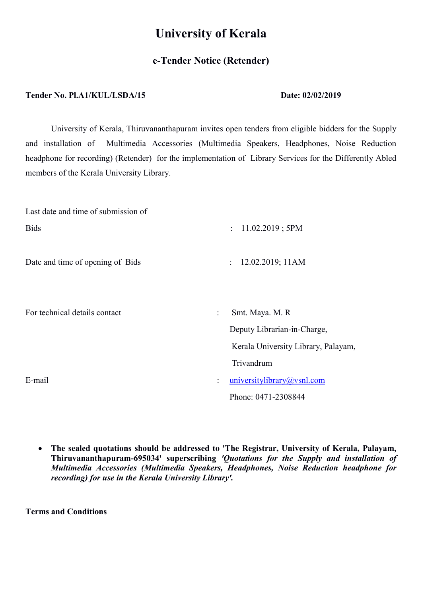# University of Kerala

## e-Tender Notice (Retender)

### Tender No. Pl.A1/KUL/LSDA/15 Date: 02/02/2019

University of Kerala, Thiruvananthapuram invites open tenders from eligible bidders for the Supply and installation of Multimedia Accessories (Multimedia Speakers, Headphones, Noise Reduction headphone for recording) (Retender) for the implementation of Library Services for the Differently Abled members of the Kerala University Library.

| Last date and time of submission of |                                                                                                         |  |  |  |
|-------------------------------------|---------------------------------------------------------------------------------------------------------|--|--|--|
| <b>Bids</b>                         | $11.02.2019$ ; 5PM<br>$\ddot{\cdot}$                                                                    |  |  |  |
| Date and time of opening of Bids    | 12.02.2019; 11AM<br>$\ddot{\cdot}$                                                                      |  |  |  |
| For technical details contact       | Smt. Maya. M. R<br>$\ddot{\cdot}$<br>Deputy Librarian-in-Charge,<br>Kerala University Library, Palayam, |  |  |  |
|                                     | Trivandrum                                                                                              |  |  |  |
| E-mail                              | universitylibrary@vsnl.com<br>$\ddot{\cdot}$                                                            |  |  |  |
|                                     | Phone: 0471-2308844                                                                                     |  |  |  |

 The sealed quotations should be addressed to 'The Registrar, University of Kerala, Palayam, Thiruvananthapuram-695034' superscribing 'Quotations for the Supply and installation of Multimedia Accessories (Multimedia Speakers, Headphones, Noise Reduction headphone for recording) for use in the Kerala University Library'.

Terms and Conditions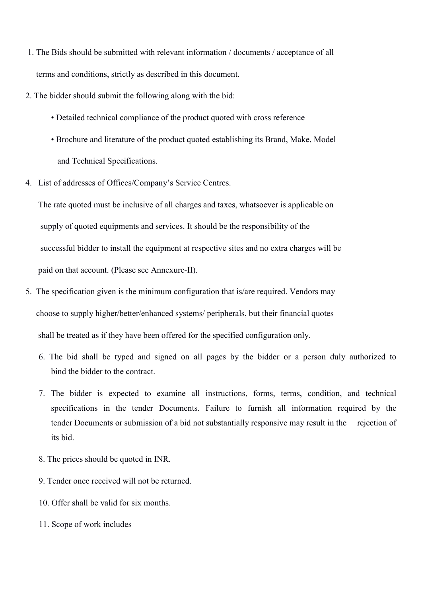- 1. The Bids should be submitted with relevant information / documents / acceptance of all terms and conditions, strictly as described in this document.
- 2. The bidder should submit the following along with the bid:
	- Detailed technical compliance of the product quoted with cross reference
	- Brochure and literature of the product quoted establishing its Brand, Make, Model and Technical Specifications.
- 4. List of addresses of Offices/Company's Service Centres.

 The rate quoted must be inclusive of all charges and taxes, whatsoever is applicable on supply of quoted equipments and services. It should be the responsibility of the successful bidder to install the equipment at respective sites and no extra charges will be paid on that account. (Please see Annexure-II).

- 5. The specification given is the minimum configuration that is/are required. Vendors may choose to supply higher/better/enhanced systems/ peripherals, but their financial quotes shall be treated as if they have been offered for the specified configuration only.
	- 6. The bid shall be typed and signed on all pages by the bidder or a person duly authorized to bind the bidder to the contract.
	- 7. The bidder is expected to examine all instructions, forms, terms, condition, and technical specifications in the tender Documents. Failure to furnish all information required by the tender Documents or submission of a bid not substantially responsive may result in the rejection of its bid.
	- 8. The prices should be quoted in INR.
	- 9. Tender once received will not be returned.
	- 10. Offer shall be valid for six months.
	- 11. Scope of work includes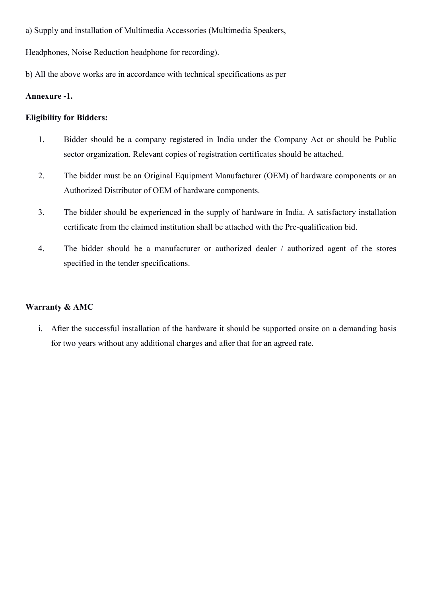a) Supply and installation of Multimedia Accessories (Multimedia Speakers,

Headphones, Noise Reduction headphone for recording).

b) All the above works are in accordance with technical specifications as per

#### Annexure -1.

#### Eligibility for Bidders:

- 1. Bidder should be a company registered in India under the Company Act or should be Public sector organization. Relevant copies of registration certificates should be attached.
- 2. The bidder must be an Original Equipment Manufacturer (OEM) of hardware components or an Authorized Distributor of OEM of hardware components.
- 3. The bidder should be experienced in the supply of hardware in India. A satisfactory installation certificate from the claimed institution shall be attached with the Pre-qualification bid.
- 4. The bidder should be a manufacturer or authorized dealer / authorized agent of the stores specified in the tender specifications.

## Warranty & AMC

i. After the successful installation of the hardware it should be supported onsite on a demanding basis for two years without any additional charges and after that for an agreed rate.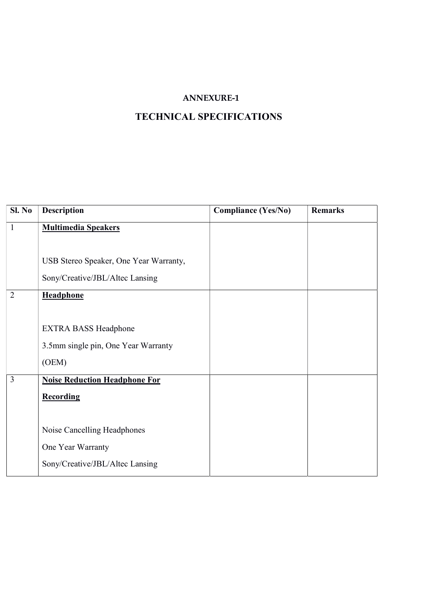## ANNEXURE-1

# TECHNICAL SPECIFICATIONS

| SI. No         | <b>Description</b>                     | <b>Compliance (Yes/No)</b> | <b>Remarks</b> |
|----------------|----------------------------------------|----------------------------|----------------|
| $\mathbf{1}$   | <b>Multimedia Speakers</b>             |                            |                |
|                |                                        |                            |                |
|                | USB Stereo Speaker, One Year Warranty, |                            |                |
|                | Sony/Creative/JBL/Altec Lansing        |                            |                |
| $\overline{2}$ | Headphone                              |                            |                |
|                |                                        |                            |                |
|                | <b>EXTRA BASS Headphone</b>            |                            |                |
|                | 3.5mm single pin, One Year Warranty    |                            |                |
|                | (OEM)                                  |                            |                |
| $\overline{3}$ | <b>Noise Reduction Headphone For</b>   |                            |                |
|                | Recording                              |                            |                |
|                |                                        |                            |                |
|                | Noise Cancelling Headphones            |                            |                |
|                | One Year Warranty                      |                            |                |
|                | Sony/Creative/JBL/Altec Lansing        |                            |                |